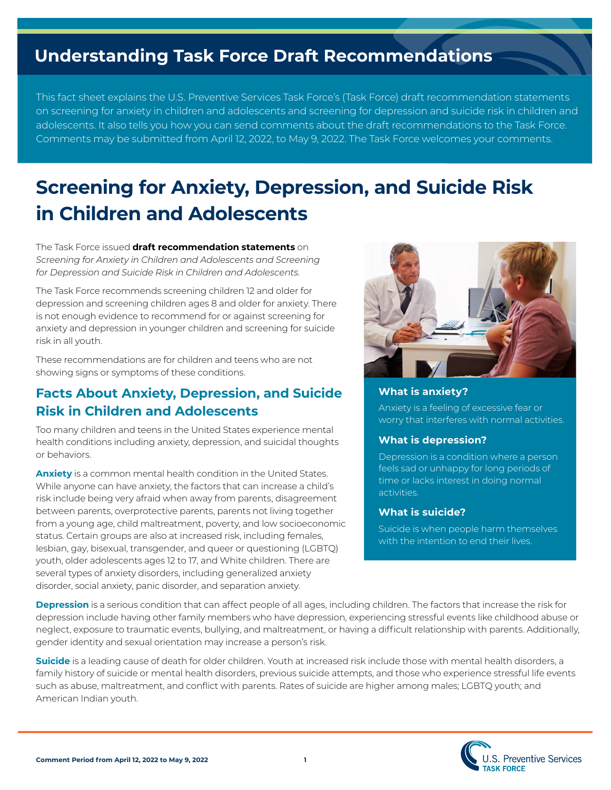# **Understanding Task Force Draft Recommendations**

This fact sheet explains the U.S. Preventive Services Task Force's (Task Force) draft recommendation statements on screening for anxiety in children and adolescents and screening for depression and suicide risk in children and adolescents. It also tells you how you can send comments about the draft recommendations to the Task Force. Comments may be submitted from April 12, 2022, to May 9, 2022. The Task Force welcomes your comments.

# **Screening for Anxiety, Depression, and Suicide Risk in Children and Adolescents**

The Task Force issued **draft recommendation statements** on *Screening for Anxiety in Children and Adolescents and Screening for Depression and Suicide Risk in Children and Adolescents.*

The Task Force recommends screening children 12 and older for depression and screening children ages 8 and older for anxiety. There is not enough evidence to recommend for or against screening for anxiety and depression in younger children and screening for suicide risk in all youth.

These recommendations are for children and teens who are not showing signs or symptoms of these conditions.

## **Facts About Anxiety, Depression, and Suicide Risk in Children and Adolescents**

Too many children and teens in the United States experience mental health conditions including anxiety, depression, and suicidal thoughts or behaviors.

**Anxiety** is a common mental health condition in the United States. While anyone can have anxiety, the factors that can increase a child's risk include being very afraid when away from parents, disagreement between parents, overprotective parents, parents not living together from a young age, child maltreatment, poverty, and low socioeconomic status. Certain groups are also at increased risk, including females, lesbian, gay, bisexual, transgender, and queer or questioning (LGBTQ) youth, older adolescents ages 12 to 17, and White children. There are several types of anxiety disorders, including generalized anxiety disorder, social anxiety, panic disorder, and separation anxiety.



### **What is anxiety?**

Anxiety is a feeling of excessive fear or worry that interferes with normal activities.

### **What is depression?**

Depression is a condition where a person feels sad or unhappy for long periods of time or lacks interest in doing normal activities.

#### **What is suicide?**

Suicide is when people harm themselves with the intention to end their lives.

**Depression** is a serious condition that can affect people of all ages, including children. The factors that increase the risk for depression include having other family members who have depression, experiencing stressful events like childhood abuse or neglect, exposure to traumatic events, bullying, and maltreatment, or having a difficult relationship with parents. Additionally, gender identity and sexual orientation may increase a person's risk.

**Suicide** is a leading cause of death for older children. Youth at increased risk include those with mental health disorders, a family history of suicide or mental health disorders, previous suicide attempts, and those who experience stressful life events such as abuse, maltreatment, and conflict with parents. Rates of suicide are higher among males; LGBTQ youth; and American Indian youth.

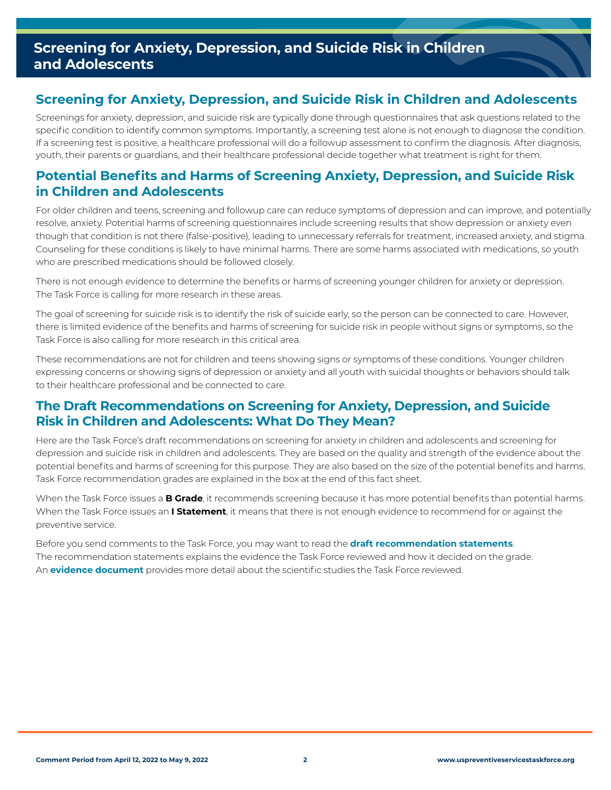## **Screening for Anxiety, Depression, and Suicide Risk in Children and Adolescents**

## **Screening for Anxiety, Depression, and Suicide Risk in Children and Adolescents**

Screenings for anxiety, depression, and suicide risk are typically done through questionnaires that ask questions related to the specific condition to identify common symptoms. Importantly, a screening test alone is not enough to diagnose the condition. If a screening test is positive, a healthcare professional will do a followup assessment to confirm the diagnosis. After diagnosis, youth, their parents or guardians, and their healthcare professional decide together what treatment is right for them.

## **Potential Benefits and Harms of Screening Anxiety, Depression, and Suicide Risk in Children and Adolescents**

For older children and teens, screening and followup care can reduce symptoms of depression and can improve, and potentially resolve, anxiety. Potential harms of screening questionnaires include screening results that show depression or anxiety even though that condition is not there (false-positive), leading to unnecessary referrals for treatment, increased anxiety, and stigma. Counseling for these conditions is likely to have minimal harms. There are some harms associated with medications, so youth who are prescribed medications should be followed closely.

There is not enough evidence to determine the benefits or harms of screening younger children for anxiety or depression. The Task Force is calling for more research in these areas.

The goal of screening for suicide risk is to identify the risk of suicide early, so the person can be connected to care. However, there is limited evidence of the benefits and harms of screening for suicide risk in people without signs or symptoms, so the Task Force is also calling for more research in this critical area.

These recommendations are not for children and teens showing signs or symptoms of these conditions. Younger children expressing concerns or showing signs of depression or anxiety and all youth with suicidal thoughts or behaviors should talk to their healthcare professional and be connected to care.

## **The Draft Recommendations on Screening for Anxiety, Depression, and Suicide Risk in Children and Adolescents: What Do They Mean?**

Here are the Task Force's draft recommendations on screening for anxiety in children and adolescents and screening for depression and suicide risk in children and adolescents. They are based on the quality and strength of the evidence about the potential benefits and harms of screening for this purpose. They are also based on the size of the potential benefits and harms. Task Force recommendation grades are explained in the box at the end of this fact sheet.

When the Task Force issues a **B Grade**, it recommends screening because it has more potential benefits than potential harms. When the Task Force issues an **I Statement**, it means that there is not enough evidence to recommend for or against the preventive service.

Before you send comments to the Task Force, you may want to read the **[draft recommendation statements](https://www.uspreventiveservicestaskforce.org/uspstf/draft-update-summary/screening-depression-anxiety-suicide-risk-children-adolescents)**. The recommendation statements explains the evidence the Task Force reviewed and how it decided on the grade. An **[evidence document](https://www.uspreventiveservicestaskforce.org/uspstf/draft-update-summary/screening-depression-anxiety-suicide-risk-children-adolescents)** provides more detail about the scientific studies the Task Force reviewed.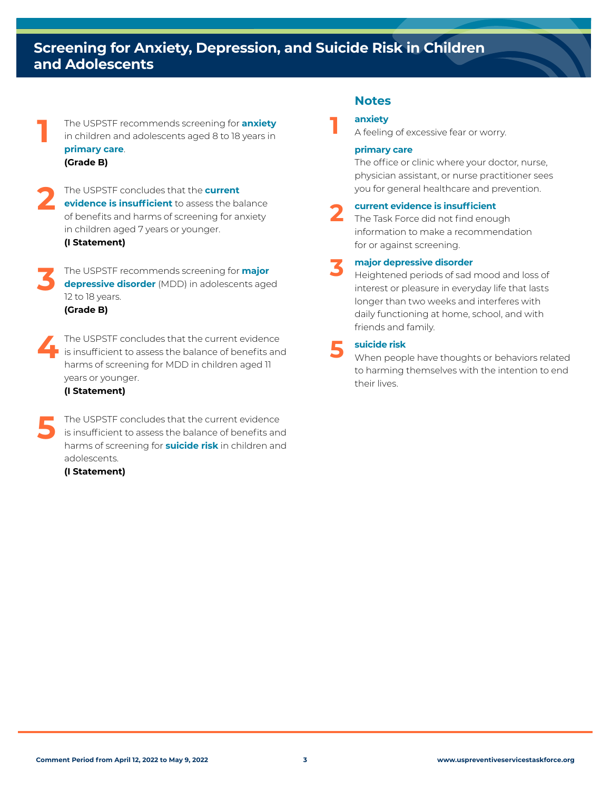## **Screening for Anxiety, Depression, and Suicide Risk in Children and Adolescents**

The USPSTF recommends screening for **anxiety**<br>
in children and adolescents aged 8 to 18 years in **primary care**. **(Grade B)**

The USPSTF concludes that the **current**<br> **evidence is insufficient** to assess the balance<br>
of bonofits and harms of screening for anxiety. of benefits and harms of screening for anxiety in children aged 7 years or younger.

**(I Statement)**

**3** The USPSTF recommends screening for **major depressive disorder** (MDD) in adolescents aged 12 to 18 years.

**(Grade B)**

**4**The USPSTF concludes that the current evidence is insufficient to assess the balance of benefits and harms of screening for MDD in children aged 11 years or younger.

#### **(I Statement)**

The USPSTF concludes that the current evidence<br>
is insufficient to assess the balance of benefits and<br>
herme of careering for **suiside side** in objection and harms of screening for **suicide risk** in children and adolescents.

**(I Statement)**

### **Notes**

#### **anxiety**

**1** A feeling of excessive fear or worry.

#### **primary care**

The office or clinic where your doctor, nurse, physician assistant, or nurse practitioner sees you for general healthcare and prevention.

**2 current evidence is insufficient**<br>
The Task Force did not find enough information to make a recommendation for or against screening.

**3 major depressive disorder**<br> **3** Heightened periods of sad mood and loss of interest or pleasure in everyday life that lasts longer than two weeks and interferes with daily functioning at home, school, and with friends and family.

**5 suicide risk**  When people have thoughts or behaviors related to harming themselves with the intention to end their lives.